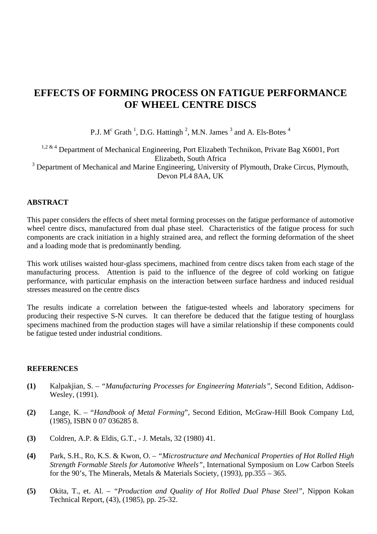# **EFFECTS OF FORMING PROCESS ON FATIGUE PERFORMANCE OF WHEEL CENTRE DISCS**

P.J.  $M<sup>c</sup>$  Grath <sup>1</sup>, D.G. Hattingh <sup>2</sup>, M.N. James <sup>3</sup> and A. Els-Botes <sup>4</sup>

 $1,2$  & 4 Department of Mechanical Engineering, Port Elizabeth Technikon, Private Bag X6001, Port Elizabeth, South Africa  $3$  Department of Mechanical and Marine Engineering, University of Plymouth, Drake Circus, Plymouth, Devon PL4 8AA, UK

## **ABSTRACT**

This paper considers the effects of sheet metal forming processes on the fatigue performance of automotive wheel centre discs, manufactured from dual phase steel. Characteristics of the fatigue process for such components are crack initiation in a highly strained area, and reflect the forming deformation of the sheet and a loading mode that is predominantly bending.

This work utilises waisted hour-glass specimens, machined from centre discs taken from each stage of the manufacturing process. Attention is paid to the influence of the degree of cold working on fatigue performance, with particular emphasis on the interaction between surface hardness and induced residual stresses measured on the centre discs

The results indicate a correlation between the fatigue-tested wheels and laboratory specimens for producing their respective S-N curves. It can therefore be deduced that the fatigue testing of hourglass specimens machined from the production stages will have a similar relationship if these components could be fatigue tested under industrial conditions.

#### **REFERENCES**

- **(1)** Kalpakjian, S. *"Manufacturing Processes for Engineering Materials",* Second Edition, Addison-Wesley, (1991).
- **(2)** Lange, K. "*Handbook of Metal Forming*", Second Edition, McGraw-Hill Book Company Ltd, (1985), ISBN 0 07 036285 8.
- **(3)** Coldren, A.P. & Eldis, G.T., J. Metals, 32 (1980) 41.
- **(4)** Park, S.H., Ro, K.S. & Kwon, O. *"Microstructure and Mechanical Properties of Hot Rolled High Strength Formable Steels for Automotive Wheels",* International Symposium on Low Carbon Steels for the 90's, The Minerals, Metals & Materials Society, (1993), pp.355 – 365.
- **(5)** Okita, T., et. Al. *"Production and Quality of Hot Rolled Dual Phase Steel",* Nippon Kokan Technical Report, (43), (1985), pp. 25-32.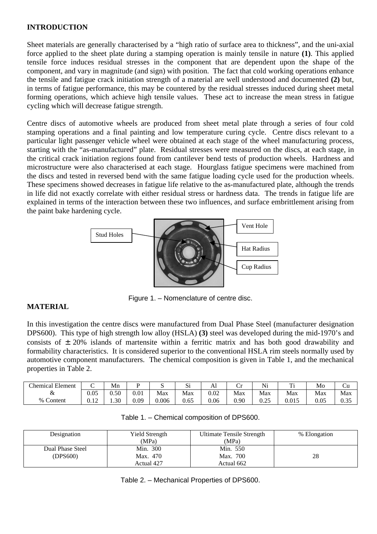## **INTRODUCTION**

Sheet materials are generally characterised by a "high ratio of surface area to thickness", and the uni-axial force applied to the sheet plate during a stamping operation is mainly tensile in nature **(1)**. This applied tensile force induces residual stresses in the component that are dependent upon the shape of the component, and vary in magnitude (and sign) with position. The fact that cold working operations enhance the tensile and fatigue crack initiation strength of a material are well understood and documented **(2)** but, in terms of fatigue performance, this may be countered by the residual stresses induced during sheet metal forming operations, which achieve high tensile values. These act to increase the mean stress in fatigue cycling which will decrease fatigue strength.

Centre discs of automotive wheels are produced from sheet metal plate through a series of four cold stamping operations and a final painting and low temperature curing cycle. Centre discs relevant to a particular light passenger vehicle wheel were obtained at each stage of the wheel manufacturing process, starting with the "as-manufactured" plate. Residual stresses were measured on the discs, at each stage, in the critical crack initiation regions found from cantilever bend tests of production wheels. Hardness and microstructure were also characterised at each stage. Hourglass fatigue specimens were machined from the discs and tested in reversed bend with the same fatigue loading cycle used for the production wheels. These specimens showed decreases in fatigue life relative to the as-manufactured plate, although the trends in life did not exactly correlate with either residual stress or hardness data. The trends in fatigue life are explained in terms of the interaction between these two influences, and surface embrittlement arising from the paint bake hardening cycle.



Figure 1. – Nomenclature of centre disc.

## **MATERIAL**

In this investigation the centre discs were manufactured from Dual Phase Steel (manufacturer designation DPS600). This type of high strength low alloy (HSLA) **(3)** steel was developed during the mid-1970's and consists of  $\pm$  20% islands of martensite within a ferritic matrix and has both good drawability and formability characteristics. It is considered superior to the conventional HSLA rim steels normally used by automotive component manufacturers. The chemical composition is given in Table 1, and the mechanical properties in Table 2.

| <b>Chemical Element</b>    | ֊              | Mn   |      |       | $\sim$<br>ιυ | Al       | ∼<br>٠.,<br>ີ | Ni            | т:<br><b>TT</b> | Mo   | Ůu           |
|----------------------------|----------------|------|------|-------|--------------|----------|---------------|---------------|-----------------|------|--------------|
| &                          | 0.05           | 0.50 | 0.01 | Max   | Max          | $0.02\,$ | Max           | Max           | Max             | Max  | Max          |
| $\sim$ $\sim$<br>% Content | $\sim$<br>U.IZ | 1.30 | 0.09 | 0.006 | 0.65         | 0.06     | $_{0.90}$     | ገ ገ ሩ<br>0.25 | 0.015           | 0.05 | ሰ ሳሮ<br>∪.ບປ |

| Designation                  | Yield Strength<br>(MPa) | Ultimate Tensile Strength<br>(MPa) | % Elongation |  |
|------------------------------|-------------------------|------------------------------------|--------------|--|
| Dual Phase Steel<br>(DPS600) | Min. 300<br>Max. 470    | Min. 550<br>Max. 700               | 28           |  |
|                              | Actual 427              | Actual 662                         |              |  |

Table 2. – Mechanical Properties of DPS600.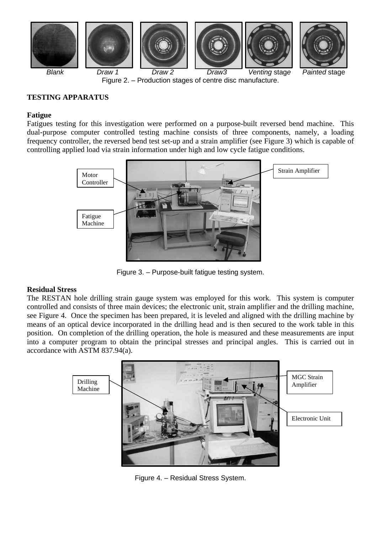

Figure 2. – Production stages of centre disc manufacture.

## **TESTING APPARATUS**

#### **Fatigue**

Fatigues testing for this investigation were performed on a purpose-built reversed bend machine. This dual-purpose computer controlled testing machine consists of three components, namely, a loading frequency controller, the reversed bend test set-up and a strain amplifier (see Figure 3) which is capable of controlling applied load via strain information under high and low cycle fatigue conditions.



Figure 3. – Purpose-built fatigue testing system.

## **Residual Stress**

The RESTAN hole drilling strain gauge system was employed for this work. This system is computer controlled and consists of three main devices; the electronic unit, strain amplifier and the drilling machine, see Figure 4. Once the specimen has been prepared, it is leveled and aligned with the drilling machine by means of an optical device incorporated in the drilling head and is then secured to the work table in this position. On completion of the drilling operation, the hole is measured and these measurements are input into a computer program to obtain the principal stresses and principal angles. This is carried out in accordance with ASTM 837.94(a).



Figure 4. – Residual Stress System.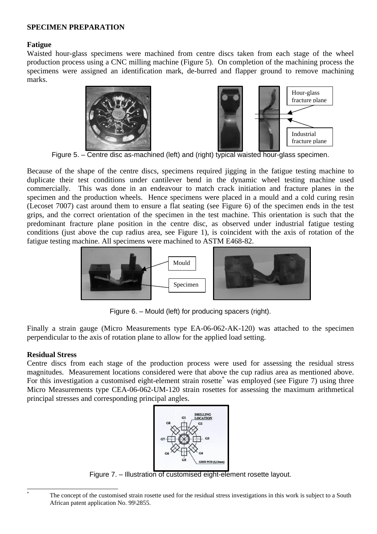## **SPECIMEN PREPARATION**

## **Fatigue**

Waisted hour-glass specimens were machined from centre discs taken from each stage of the wheel production process using a CNC milling machine (Figure 5). On completion of the machining process the specimens were assigned an identification mark, de-burred and flapper ground to remove machining marks.





Figure 5. – Centre disc as-machined (left) and (right) typical waisted hour-glass specimen.

Because of the shape of the centre discs, specimens required jigging in the fatigue testing machine to duplicate their test conditions under cantilever bend in the dynamic wheel testing machine used commercially. This was done in an endeavour to match crack initiation and fracture planes in the specimen and the production wheels. Hence specimens were placed in a mould and a cold curing resin (Lecoset 7007) cast around them to ensure a flat seating (see Figure 6) of the specimen ends in the test grips, and the correct orientation of the specimen in the test machine. This orientation is such that the predominant fracture plane position in the centre disc, as observed under industrial fatigue testing conditions (just above the cup radius area, see Figure 1), is coincident with the axis of rotation of the fatigue testing machine. All specimens were machined to ASTM E468-82.



Figure 6. – Mould (left) for producing spacers (right).

Finally a strain gauge (Micro Measurements type EA-06-062-AK-120) was attached to the specimen perpendicular to the axis of rotation plane to allow for the applied load setting.

### **Residual Stress**

Centre discs from each stage of the production process were used for assessing the residual stress magnitudes. Measurement locations considered were that above the cup radius area as mentioned above. For this investigation a customised eight-element strain rosette\* was employed (see Figure 7) using three Micro Measurements type CEA-06-062-UM-120 strain rosettes for assessing the maximum arithmetical principal stresses and corresponding principal angles.



Figure 7. – Illustration of customised eight-element rosette layout.

-

The concept of the customised strain rosette used for the residual stress investigations in this work is subject to a South African patent application No. 99\2855.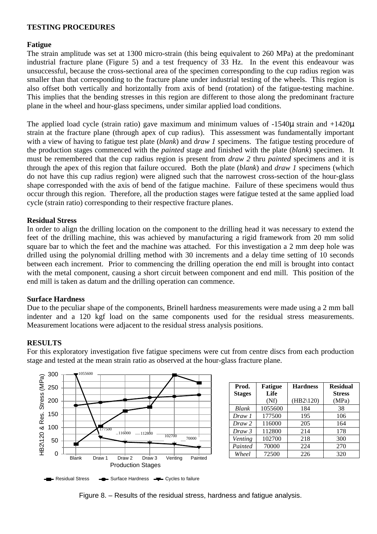## **TESTING PROCEDURES**

## **Fatigue**

The strain amplitude was set at 1300 micro-strain (this being equivalent to 260 MPa) at the predominant industrial fracture plane (Figure 5) and a test frequency of 33 Hz. In the event this endeavour was unsuccessful, because the cross-sectional area of the specimen corresponding to the cup radius region was smaller than that corresponding to the fracture plane under industrial testing of the wheels. This region is also offset both vertically and horizontally from axis of bend (rotation) of the fatigue-testing machine. This implies that the bending stresses in this region are different to those along the predominant fracture plane in the wheel and hour-glass specimens, under similar applied load conditions.

The applied load cycle (strain ratio) gave maximum and minimum values of -1540μ strain and +1420μ strain at the fracture plane (through apex of cup radius). This assessment was fundamentally important with a view of having to fatigue test plate (*blank*) and d*raw 1* specimens. The fatigue testing procedure of the production stages commenced with the *painted* stage and finished with the plate (*blank*) specimen. It must be remembered that the cup radius region is present from *draw 2* thru *painted* specimens and it is through the apex of this region that failure occured. Both the plate (*blank*) and *draw 1* specimens (which do not have this cup radius region) were aligned such that the narrowest cross-section of the hour-glass shape corresponded with the axis of bend of the fatigue machine. Failure of these specimens would thus occur through this region. Therefore, all the production stages were fatigue tested at the same applied load cycle (strain ratio) corresponding to their respective fracture planes.

## **Residual Stress**

In order to align the drilling location on the component to the drilling head it was necessary to extend the feet of the drilling machine, this was achieved by manufacturing a rigid framework from 20 mm solid square bar to which the feet and the machine was attached. For this investigation a 2 mm deep hole was drilled using the polynomial drilling method with 30 increments and a delay time setting of 10 seconds between each increment. Prior to commencing the drilling operation the end mill is brought into contact with the metal component, causing a short circuit between component and end mill. This position of the end mill is taken as datum and the drilling operation can commence.

### **Surface Hardness**

Due to the peculiar shape of the components, Brinell hardness measurements were made using a 2 mm ball indenter and a 120 kgf load on the same components used for the residual stress measurements. Measurement locations were adjacent to the residual stress analysis positions.

### **RESULTS**

For this exploratory investigation five fatigue specimens were cut from centre discs from each production stage and tested at the mean strain ratio as observed at the hour-glass fracture plane.



| Prod.<br><b>Stages</b> | <b>Fatigue</b><br>Life | <b>Hardness</b> | <b>Residual</b><br><b>Stress</b> |  |
|------------------------|------------------------|-----------------|----------------------------------|--|
|                        | (Nf)                   | $(HB2\120)$     | (MPa)                            |  |
| Blank                  | 1055600                | 184             | 38                               |  |
| Draw 1                 | 177500                 | 195             | 106                              |  |
| Draw 2                 | 116000                 | 205             | 164                              |  |
| Draw 3                 | 112800                 | 214             | 178                              |  |
| Venting                | 102700                 | 218             | 300                              |  |
| Painted                | 70000                  | 224             | 270                              |  |
| Wheel                  | 72500                  | 226             | 320                              |  |



Figure 8. – Results of the residual stress, hardness and fatigue analysis.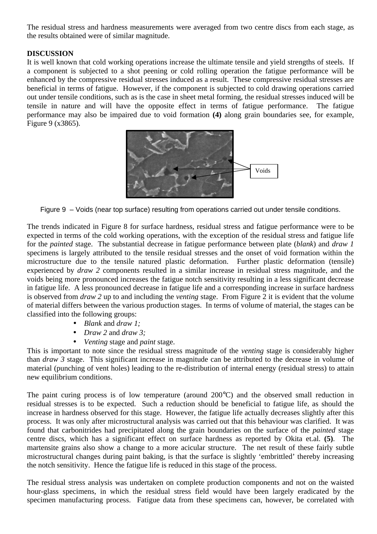The residual stress and hardness measurements were averaged from two centre discs from each stage, as the results obtained were of similar magnitude.

## **DISCUSSION**

It is well known that cold working operations increase the ultimate tensile and yield strengths of steels. If a component is subjected to a shot peening or cold rolling operation the fatigue performance will be enhanced by the compressive residual stresses induced as a result. These compressive residual stresses are beneficial in terms of fatigue. However, if the component is subjected to cold drawing operations carried out under tensile conditions, such as is the case in sheet metal forming, the residual stresses induced will be tensile in nature and will have the opposite effect in terms of fatigue performance. The fatigue performance may also be impaired due to void formation **(4)** along grain boundaries see, for example, Figure 9 (x3865).



Figure 9 – Voids (near top surface) resulting from operations carried out under tensile conditions.

The trends indicated in Figure 8 for surface hardness, residual stress and fatigue performance were to be expected in terms of the cold working operations, with the exception of the residual stress and fatigue life for the *painted* stage. The substantial decrease in fatigue performance between plate (*blank*) and *draw 1* specimens is largely attributed to the tensile residual stresses and the onset of void formation within the microstructure due to the tensile natured plastic deformation. Further plastic deformation (tensile) experienced by *draw 2* components resulted in a similar increase in residual stress magnitude, and the voids being more pronounced increases the fatigue notch sensitivity resulting in a less significant decrease in fatigue life. A less pronounced decrease in fatigue life and a corresponding increase in surface hardness is observed from *draw 2* up to and including the *venting* stage. From Figure 2 it is evident that the volume of material differs between the various production stages. In terms of volume of material, the stages can be classified into the following groups:

- *Blank* and *draw 1;*
- *Draw 2* and *draw 3;*
- *Venting* stage and *paint* stage.

This is important to note since the residual stress magnitude of the *venting* stage is considerably higher than *draw 3* stage. This significant increase in magnitude can be attributed to the decrease in volume of material (punching of vent holes) leading to the re-distribution of internal energy (residual stress) to attain new equilibrium conditions.

The paint curing process is of low temperature (around 200°C) and the observed small reduction in residual stresses is to be expected. Such a reduction should be beneficial to fatigue life, as should the increase in hardness observed for this stage. However, the fatigue life actually decreases slightly after this process. It was only after microstructural analysis was carried out that this behaviour was clarified. It was found that carbonitrides had precipitated along the grain boundaries on the surface of the *painted* stage centre discs, which has a significant effect on surface hardness as reported by Okita et.al. **(5)**. The martensite grains also show a change to a more acicular structure. The net result of these fairly subtle microstructural changes during paint baking, is that the surface is slightly 'embrittled' thereby increasing the notch sensitivity. Hence the fatigue life is reduced in this stage of the process.

The residual stress analysis was undertaken on complete production components and not on the waisted hour-glass specimens, in which the residual stress field would have been largely eradicated by the specimen manufacturing process. Fatigue data from these specimens can, however, be correlated with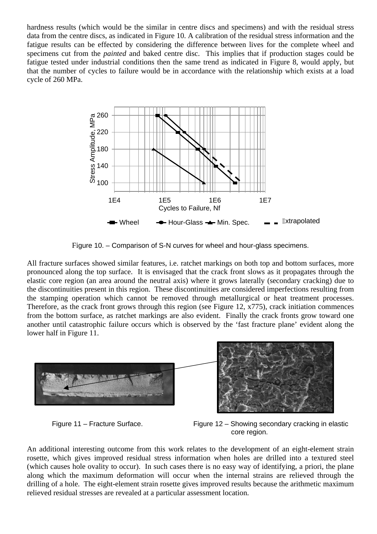hardness results (which would be the similar in centre discs and specimens) and with the residual stress data from the centre discs, as indicated in Figure 10. A calibration of the residual stress information and the fatigue results can be effected by considering the difference between lives for the complete wheel and specimens cut from the *painted* and baked centre disc. This implies that if production stages could be fatigue tested under industrial conditions then the same trend as indicated in Figure 8, would apply, but that the number of cycles to failure would be in accordance with the relationship which exists at a load cycle of 260 MPa.



Figure 10. – Comparison of S-N curves for wheel and hour-glass specimens.

All fracture surfaces showed similar features, i.e. ratchet markings on both top and bottom surfaces, more pronounced along the top surface. It is envisaged that the crack front slows as it propagates through the elastic core region (an area around the neutral axis) where it grows laterally (secondary cracking) due to the discontinuities present in this region. These discontinuities are considered imperfections resulting from the stamping operation which cannot be removed through metallurgical or heat treatment processes. Therefore, as the crack front grows through this region (see Figure 12, x775), crack initiation commences from the bottom surface, as ratchet markings are also evident. Finally the crack fronts grow toward one another until catastrophic failure occurs which is observed by the 'fast fracture plane' evident along the lower half in Figure 11.





Figure 11 – Fracture Surface. Figure 12 – Showing secondary cracking in elastic core region.

An additional interesting outcome from this work relates to the development of an eight-element strain rosette, which gives improved residual stress information when holes are drilled into a textured steel (which causes hole ovality to occur). In such cases there is no easy way of identifying, a priori, the plane along which the maximum deformation will occur when the internal strains are relieved through the drilling of a hole. The eight-element strain rosette gives improved results because the arithmetic maximum relieved residual stresses are revealed at a particular assessment location.